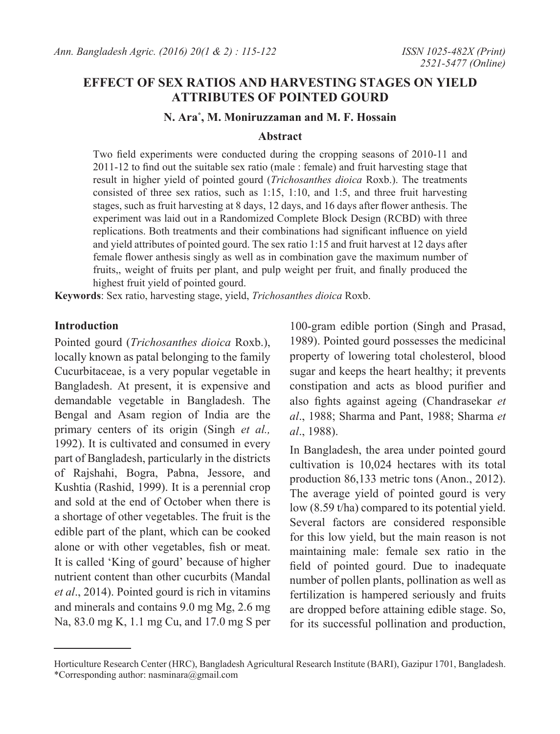# **EFFECT OF SEX RATIOS AND HARVESTING STAGES ON YIELD ATTRIBUTES OF POINTED GOURD**

### **N. Ara\* , M. Moniruzzaman and M. F. Hossain**

#### **Abstract**

Two field experiments were conducted during the cropping seasons of 2010-11 and 2011-12 to find out the suitable sex ratio (male : female) and fruit harvesting stage that result in higher yield of pointed gourd (*Trichosanthes dioica* Roxb.). The treatments consisted of three sex ratios, such as 1:15, 1:10, and 1:5, and three fruit harvesting stages, such as fruit harvesting at 8 days, 12 days, and 16 days after flower anthesis. The experiment was laid out in a Randomized Complete Block Design (RCBD) with three replications. Both treatments and their combinations had significant influence on yield and yield attributes of pointed gourd. The sex ratio 1:15 and fruit harvest at 12 days after female flower anthesis singly as well as in combination gave the maximum number of fruits,, weight of fruits per plant, and pulp weight per fruit, and finally produced the highest fruit yield of pointed gourd.

**Keywords**: Sex ratio, harvesting stage, yield, *Trichosanthes dioica* Roxb.

### **Introduction**

Pointed gourd (*Trichosanthes dioica* Roxb.), locally known as patal belonging to the family Cucurbitaceae, is a very popular vegetable in Bangladesh. At present, it is expensive and demandable vegetable in Bangladesh. The Bengal and Asam region of India are the primary centers of its origin (Singh *et al.,* 1992). It is cultivated and consumed in every part of Bangladesh, particularly in the districts of Rajshahi, Bogra, Pabna, Jessore, and Kushtia (Rashid, 1999). It is a perennial crop and sold at the end of October when there is a shortage of other vegetables. The fruit is the edible part of the plant, which can be cooked alone or with other vegetables, fish or meat. It is called 'King of gourd' because of higher nutrient content than other cucurbits (Mandal *et al*., 2014). Pointed gourd is rich in vitamins and minerals and contains 9.0 mg Mg, 2.6 mg Na, 83.0 mg K, 1.1 mg Cu, and 17.0 mg S per

100-gram edible portion (Singh and Prasad, 1989). Pointed gourd possesses the medicinal property of lowering total cholesterol, blood sugar and keeps the heart healthy; it prevents constipation and acts as blood purifier and also fights against ageing (Chandrasekar *et al*., 1988; Sharma and Pant, 1988; Sharma *et al*., 1988).

In Bangladesh, the area under pointed gourd cultivation is 10,024 hectares with its total production 86,133 metric tons (Anon., 2012). The average yield of pointed gourd is very low (8.59 t/ha) compared to its potential yield. Several factors are considered responsible for this low yield, but the main reason is not maintaining male: female sex ratio in the field of pointed gourd. Due to inadequate number of pollen plants, pollination as well as fertilization is hampered seriously and fruits are dropped before attaining edible stage. So, for its successful pollination and production,

Horticulture Research Center (HRC), Bangladesh Agricultural Research Institute (BARI), Gazipur 1701, Bangladesh. \*Corresponding author: nasminara@gmail.com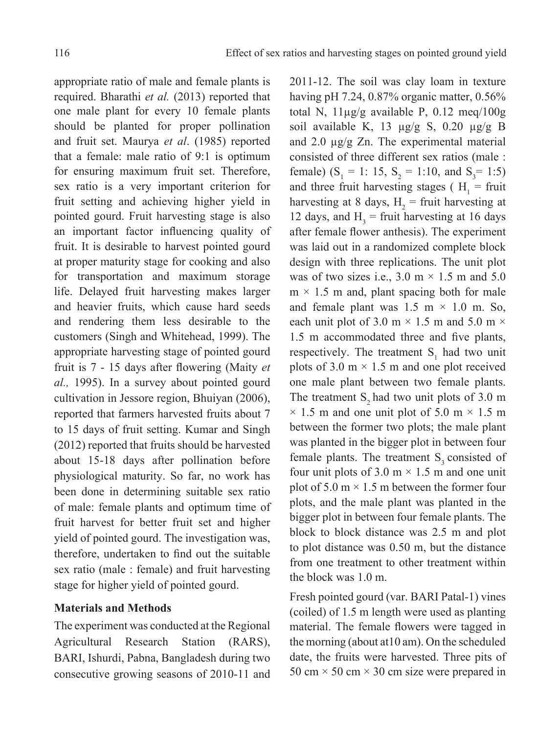appropriate ratio of male and female plants is required. Bharathi *et al.* (2013) reported that one male plant for every 10 female plants should be planted for proper pollination and fruit set. Maurya *et al*. (1985) reported that a female: male ratio of 9:1 is optimum for ensuring maximum fruit set. Therefore, sex ratio is a very important criterion for fruit setting and achieving higher yield in pointed gourd. Fruit harvesting stage is also an important factor influencing quality of fruit. It is desirable to harvest pointed gourd at proper maturity stage for cooking and also for transportation and maximum storage life. Delayed fruit harvesting makes larger and heavier fruits, which cause hard seeds and rendering them less desirable to the customers (Singh and Whitehead, 1999). The appropriate harvesting stage of pointed gourd fruit is 7 - 15 days after flowering (Maity *et al.,* 1995). In a survey about pointed gourd cultivation in Jessore region, Bhuiyan (2006), reported that farmers harvested fruits about 7 to 15 days of fruit setting. Kumar and Singh (2012) reported that fruits should be harvested about 15-18 days after pollination before physiological maturity. So far, no work has been done in determining suitable sex ratio of male: female plants and optimum time of fruit harvest for better fruit set and higher yield of pointed gourd. The investigation was, therefore, undertaken to find out the suitable sex ratio (male : female) and fruit harvesting stage for higher yield of pointed gourd.

## **Materials and Methods**

The experiment was conducted at the Regional Agricultural Research Station (RARS), BARI, Ishurdi, Pabna, Bangladesh during two consecutive growing seasons of 2010-11 and

2011-12. The soil was clay loam in texture having pH 7.24, 0.87% organic matter, 0.56% total N, 11µg/g available P, 0.12 meq/100g soil available K, 13 µg/g S, 0.20 µg/g B and 2.0 µg/g Zn. The experimental material consisted of three different sex ratios (male : female)  $(S_1 = 1: 15, S_2 = 1:10, and S_3 = 1:5)$ and three fruit harvesting stages ( $H_1$  = fruit harvesting at 8 days,  $H_2$  = fruit harvesting at 12 days, and  $H_3$  = fruit harvesting at 16 days after female flower anthesis). The experiment was laid out in a randomized complete block design with three replications. The unit plot was of two sizes i.e.,  $3.0 \text{ m} \times 1.5 \text{ m}$  and  $5.0 \text{ m}$  $m \times 1.5$  m and, plant spacing both for male and female plant was  $1.5 \text{ m} \times 1.0 \text{ m}$ . So, each unit plot of 3.0 m  $\times$  1.5 m and 5.0 m  $\times$ 1.5 m accommodated three and five plants, respectively. The treatment  $S_1$  had two unit plots of 3.0  $m \times 1.5$  m and one plot received one male plant between two female plants. The treatment  $S_2$  had two unit plots of 3.0 m  $\times$  1.5 m and one unit plot of 5.0 m  $\times$  1.5 m between the former two plots; the male plant was planted in the bigger plot in between four female plants. The treatment  $S<sub>3</sub>$  consisted of four unit plots of 3.0 m  $\times$  1.5 m and one unit plot of  $5.0 \text{ m} \times 1.5 \text{ m}$  between the former four plots, and the male plant was planted in the bigger plot in between four female plants. The block to block distance was 2.5 m and plot to plot distance was 0.50 m, but the distance from one treatment to other treatment within the block was 1.0 m.

Fresh pointed gourd (var. BARI Patal-1) vines (coiled) of 1.5 m length were used as planting material. The female flowers were tagged in the morning (about at10 am). On the scheduled date, the fruits were harvested. Three pits of 50 cm  $\times$  50 cm  $\times$  30 cm size were prepared in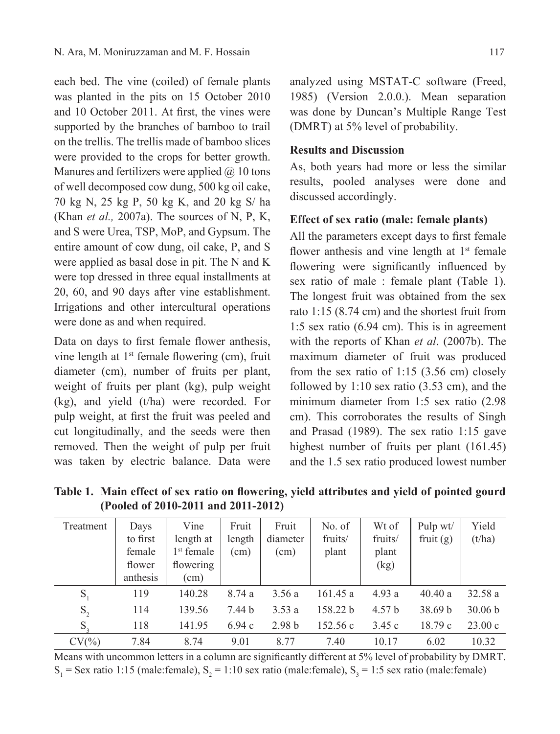each bed. The vine (coiled) of female plants was planted in the pits on 15 October 2010 and 10 October 2011. At first, the vines were supported by the branches of bamboo to trail on the trellis. The trellis made of bamboo slices were provided to the crops for better growth. Manures and fertilizers were applied  $(a)$  10 tons of well decomposed cow dung, 500 kg oil cake, 70 kg N, 25 kg P, 50 kg K, and 20 kg S/ ha (Khan *et al.,* 2007a). The sources of N, P, K, and S were Urea, TSP, MoP, and Gypsum. The entire amount of cow dung, oil cake, P, and S were applied as basal dose in pit. The N and K were top dressed in three equal installments at 20, 60, and 90 days after vine establishment. Irrigations and other intercultural operations were done as and when required.

Data on days to first female flower anthesis, vine length at  $1<sup>st</sup>$  female flowering (cm), fruit diameter (cm), number of fruits per plant, weight of fruits per plant (kg), pulp weight (kg), and yield (t/ha) were recorded. For pulp weight, at first the fruit was peeled and cut longitudinally, and the seeds were then removed. Then the weight of pulp per fruit was taken by electric balance. Data were analyzed using MSTAT-C software (Freed, 1985) (Version 2.0.0.). Mean separation was done by Duncan's Multiple Range Test (DMRT) at 5% level of probability.

## **Results and Discussion**

As, both years had more or less the similar results, pooled analyses were done and discussed accordingly.

## **Effect of sex ratio (male: female plants)**

All the parameters except days to first female flower anthesis and vine length at  $1<sup>st</sup>$  female flowering were significantly influenced by sex ratio of male : female plant (Table 1). The longest fruit was obtained from the sex rato 1:15 (8.74 cm) and the shortest fruit from 1:5 sex ratio (6.94 cm). This is in agreement with the reports of Khan *et al*. (2007b). The maximum diameter of fruit was produced from the sex ratio of 1:15 (3.56 cm) closely followed by 1:10 sex ratio (3.53 cm), and the minimum diameter from 1:5 sex ratio (2.98 cm). This corroborates the results of Singh and Prasad (1989). The sex ratio 1:15 gave highest number of fruits per plant (161.45) and the 1.5 sex ratio produced lowest number

Treatment Days to first female flower anthesis Vine length at 1<sup>st</sup> female flowering (cm) Fruit length (cm) Fruit diameter (cm) No. of fruits/ plant Wt of fruits/ plant (kg) Pulp wt/ fruit  $(g)$ Yield  $(t/ha)$  $S_1$  119 140.28 8.74 a 3.56 a 161.45 a 4.93 a 40.40 a 32.58 a  $S_2$  114 139.56 7.44 b 3.53 a 158.22 b 4.57 b 38.69 b 30.06 b  $S_3$  118 141.95 6.94 c 2.98 b 152.56 c 3.45 c 18.79 c 23.00 c CV(%) 7.84 8.74 9.01 8.77 7.40 10.17 6.02 10.32

**Table 1. Main effect of sex ratio on flowering, yield attributes and yield of pointed gourd (Pooled of 2010-2011 and 2011-2012)**

Means with uncommon letters in a column are significantly different at 5% level of probability by DMRT.  $S_1$  = Sex ratio 1:15 (male:female),  $S_2$  = 1:10 sex ratio (male:female),  $S_3$  = 1:5 sex ratio (male:female)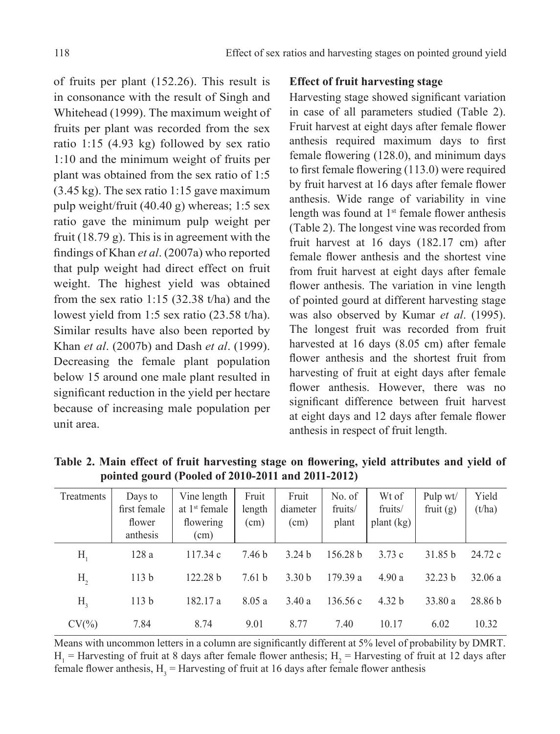of fruits per plant (152.26). This result is in consonance with the result of Singh and Whitehead (1999). The maximum weight of fruits per plant was recorded from the sex ratio 1:15 (4.93 kg) followed by sex ratio 1:10 and the minimum weight of fruits per plant was obtained from the sex ratio of 1:5 (3.45 kg). The sex ratio 1:15 gave maximum pulp weight/fruit (40.40 g) whereas; 1:5 sex ratio gave the minimum pulp weight per fruit (18.79 g). This is in agreement with the findings of Khan *et al*. (2007a) who reported that pulp weight had direct effect on fruit weight. The highest yield was obtained from the sex ratio 1:15 (32.38 t/ha) and the lowest yield from 1:5 sex ratio (23.58 t/ha). Similar results have also been reported by Khan *et al*. (2007b) and Dash *et al*. (1999). Decreasing the female plant population below 15 around one male plant resulted in significant reduction in the yield per hectare because of increasing male population per unit area.

## **Effect of fruit harvesting stage**

Harvesting stage showed significant variation in case of all parameters studied (Table 2). Fruit harvest at eight days after female flower anthesis required maximum days to first female flowering (128.0), and minimum days to first female flowering (113.0) were required by fruit harvest at 16 days after female flower anthesis. Wide range of variability in vine length was found at  $1<sup>st</sup>$  female flower anthesis (Table 2). The longest vine was recorded from fruit harvest at 16 days (182.17 cm) after female flower anthesis and the shortest vine from fruit harvest at eight days after female flower anthesis. The variation in vine length of pointed gourd at different harvesting stage was also observed by Kumar *et al*. (1995). The longest fruit was recorded from fruit harvested at 16 days (8.05 cm) after female flower anthesis and the shortest fruit from harvesting of fruit at eight days after female flower anthesis. However, there was no significant difference between fruit harvest at eight days and 12 days after female flower anthesis in respect of fruit length.

| Treatments     | Days to<br>first female<br>flower<br>anthesis | Vine length<br>at $1st$ female<br>flowering<br>(cm) | Fruit<br>length<br>(cm) | Fruit<br>diameter<br>(cm) | No. of<br>fruits/<br>plant | Wt of<br>fruits/<br>plant (kg) | Pulp wt/<br>fruit $(g)$ | Yield<br>(t/ha) |
|----------------|-----------------------------------------------|-----------------------------------------------------|-------------------------|---------------------------|----------------------------|--------------------------------|-------------------------|-----------------|
| Н,             | 128a                                          | 117.34c                                             | 7.46 b                  | 3.24 <sub>b</sub>         | 156.28 h                   | 3.73c                          | 31.85 b                 | 24.72 c         |
| H <sub>2</sub> | 113 <sub>b</sub>                              | 122.28 b                                            | 7.61 <sub>b</sub>       | 3.30 <sub>b</sub>         | 179.39a                    | 4.90a                          | 32.23 b                 | 32.06a          |
| $H_{\rm a}$    | 113 <sub>b</sub>                              | 182.17 a                                            | 8.05a                   | 3.40a                     | 136.56c                    | 4.32 b                         | 33.80 a                 | 28.86 b         |
| $CV(\% )$      | 7.84                                          | 8.74                                                | 9.01                    | 8.77                      | 7.40                       | 10.17                          | 6.02                    | 10.32           |

**Table 2. Main effect of fruit harvesting stage on flowering, yield attributes and yield of pointed gourd (Pooled of 2010-2011 and 2011-2012)**

Means with uncommon letters in a column are significantly different at 5% level of probability by DMRT.  $H_1$  = Harvesting of fruit at 8 days after female flower anthesis;  $H_2$  = Harvesting of fruit at 12 days after female flower anthesis,  $H_3$  = Harvesting of fruit at 16 days after female flower anthesis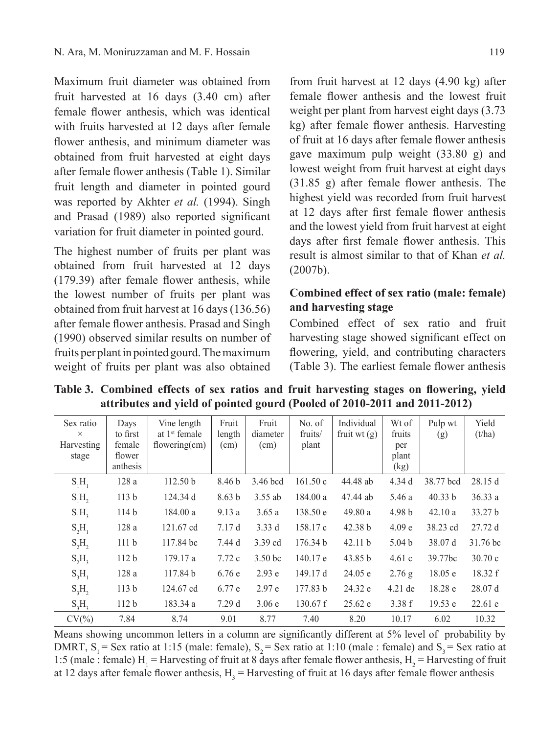Maximum fruit diameter was obtained from fruit harvested at 16 days (3.40 cm) after female flower anthesis, which was identical with fruits harvested at 12 days after female flower anthesis, and minimum diameter was obtained from fruit harvested at eight days after female flower anthesis (Table 1). Similar fruit length and diameter in pointed gourd was reported by Akhter *et al.* (1994). Singh and Prasad (1989) also reported significant variation for fruit diameter in pointed gourd.

The highest number of fruits per plant was obtained from fruit harvested at 12 days (179.39) after female flower anthesis, while the lowest number of fruits per plant was obtained from fruit harvest at 16 days (136.56) after female flower anthesis. Prasad and Singh (1990) observed similar results on number of fruits per plant in pointed gourd. The maximum weight of fruits per plant was also obtained

from fruit harvest at 12 days (4.90 kg) after female flower anthesis and the lowest fruit weight per plant from harvest eight days (3.73 kg) after female flower anthesis. Harvesting of fruit at 16 days after female flower anthesis gave maximum pulp weight (33.80 g) and lowest weight from fruit harvest at eight days (31.85 g) after female flower anthesis. The highest yield was recorded from fruit harvest at 12 days after first female flower anthesis and the lowest yield from fruit harvest at eight days after first female flower anthesis. This result is almost similar to that of Khan *et al.* (2007b).

# **Combined effect of sex ratio (male: female) and harvesting stage**

Combined effect of sex ratio and fruit harvesting stage showed significant effect on flowering, yield, and contributing characters (Table 3). The earliest female flower anthesis

| Sex ratio<br>X<br>Harvesting<br>stage | Days<br>to first<br>female<br>flower | Vine length<br>at $1st$ female<br>flowering $(cm)$ | Fruit<br>length<br>(cm) | Fruit<br>diameter<br>(cm) | No. of<br>fruits/<br>plant | Individual<br>fruit wt $(g)$ | Wt of<br>fruits<br>per<br>plant | Pulp wt<br>(g)      | Yield<br>(t/ha) |
|---------------------------------------|--------------------------------------|----------------------------------------------------|-------------------------|---------------------------|----------------------------|------------------------------|---------------------------------|---------------------|-----------------|
|                                       | anthesis                             |                                                    |                         |                           |                            |                              | (kg)                            |                     |                 |
| S <sub>1</sub> H <sub>1</sub>         | 128a                                 | 112.50 <sub>b</sub>                                | 8.46 b                  | 3.46 bcd                  | 161.50c                    | 44.48 ab                     | 4.34d                           | 38.77 bcd           | 28.15d          |
| $S_1H_2$                              | 113 <sub>b</sub>                     | 124.34 d                                           | 8.63 <sub>b</sub>       | $3.55$ ab                 | 184.00a                    | 47.44 ab                     | 5.46 a                          | 40.33 b             | 36.33a          |
| $S_1H_3$                              | 114 <sub>b</sub>                     | 184.00a                                            | 9.13a                   | 3.65a                     | 138.50 e                   | 49.80 a                      | 4.98 <sub>b</sub>               | 42.10a              | 33.27 b         |
| $S_2H_1$                              | 128a                                 | 121.67 cd                                          | 7.17d                   | 3.33d                     | 158.17 c                   | 42.38 b                      | 4.09 <sub>e</sub>               | 38.23 cd            | 27.72d          |
| S <sub>2</sub> H <sub>2</sub>         | 111 <sub>b</sub>                     | 117.84 bc                                          | 7.44 d                  | 3.39 cd                   | 176.34 b                   | 42.11 b                      | 5.04 <sub>b</sub>               | 38.07 d             | 31.76 bc        |
| $S_2H_3$                              | 112 <sub>b</sub>                     | 179.17 a                                           | 7.72c                   | 3.50 <sub>bc</sub>        | 140.17 e                   | 43.85 b                      | 4.61c                           | 39.77 <sub>bc</sub> | 30.70c          |
| $S_1H_1$                              | 128a                                 | 117.84 b                                           | 6.76e                   | 2.93 e                    | 149.17 d                   | 24.05 e                      | 2.76g                           | 18.05 e             | 18.32 f         |
| $S_3H_2$                              | 113 <sub>b</sub>                     | 124.67 cd                                          | 6.77 e                  | 2.97e                     | 177.83 b                   | 24.32 e                      | $4.21$ de                       | 18.28 e             | 28.07d          |
| $S_3H_3$                              | 112 <sub>b</sub>                     | 183.34 a                                           | 7.29d                   | 3.06e                     | $130.67$ f                 | 25.62 e                      | 3.38f                           | 19.53 e             | 22.61 e         |
| CV(%                                  | 7.84                                 | 8.74                                               | 9.01                    | 8.77                      | 7.40                       | 8.20                         | 10.17                           | 6.02                | 10.32           |

**Table 3. Combined effects of sex ratios and fruit harvesting stages on flowering, yield attributes and yield of pointed gourd (Pooled of 2010-2011 and 2011-2012)**

Means showing uncommon letters in a column are significantly different at  $5\%$  level of probability by DMRT,  $S_1$  = Sex ratio at 1:15 (male: female),  $S_2$  = Sex ratio at 1:10 (male : female) and  $S_3$  = Sex ratio at 1:5 (male : female)  $H_1$  = Harvesting of fruit at 8 days after female flower anthesis,  $H_2$  = Harvesting of fruit at 12 days after female flower anthesis,  $H_3$  = Harvesting of fruit at 16 days after female flower anthesis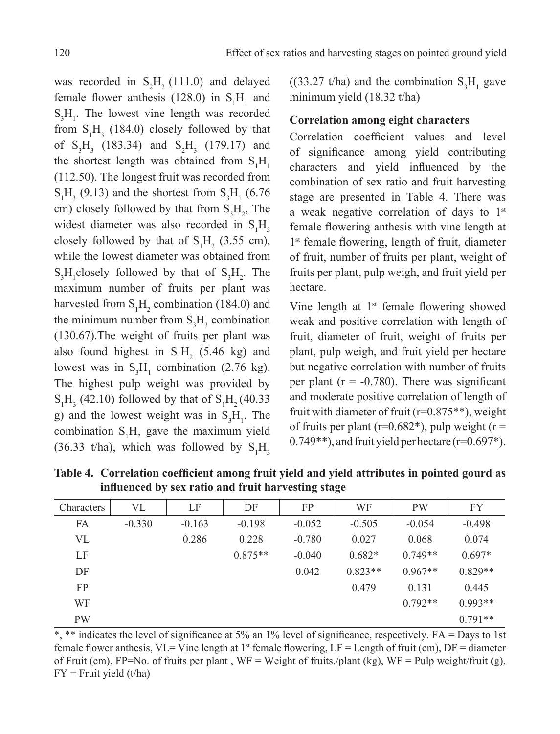was recorded in  $S_2H_2(111.0)$  and delayed female flower anthesis (128.0) in  $S_1H_1$  and  $S_3H_1$ . The lowest vine length was recorded from  $S_1H_3$  (184.0) closely followed by that of  $S_3H_3$  (183.34) and  $S_2H_3$  (179.17) and the shortest length was obtained from  $S_1H_1$ (112.50). The longest fruit was recorded from  $S_1H_3$  (9.13) and the shortest from  $S_3H_1$  (6.76) cm) closely followed by that from  $S_3H_2$ , The widest diameter was also recorded in  $S_1H_3$ closely followed by that of  $S_1H_2$  (3.55 cm), while the lowest diameter was obtained from  $S_3H_1$ closely followed by that of  $S_3H_2$ . The maximum number of fruits per plant was harvested from  $S_1H_2$  combination (184.0) and the minimum number from  $S_3H_3$  combination (130.67).The weight of fruits per plant was also found highest in  $S_1H_2$  (5.46 kg) and lowest was in  $S_3H_1$  combination (2.76 kg). The highest pulp weight was provided by  $S_1H_3$  (42.10) followed by that of  $S_1H_2$  (40.33) g) and the lowest weight was in  $S_3H_1$ . The combination  $S_1H_2$  gave the maximum yield (36.33 t/ha), which was followed by  $S_1H_3$ 

 $((33.27 \t{t/ha})$  and the combination  $S_3H_1$  gave minimum yield (18.32 t/ha)

## **Correlation among eight characters**

Correlation coefficient values and level of significance among yield contributing characters and yield influenced by the combination of sex ratio and fruit harvesting stage are presented in Table 4. There was a weak negative correlation of days to 1<sup>st</sup> female flowering anthesis with vine length at 1<sup>st</sup> female flowering, length of fruit, diameter of fruit, number of fruits per plant, weight of fruits per plant, pulp weigh, and fruit yield per hectare.

Vine length at  $1<sup>st</sup>$  female flowering showed weak and positive correlation with length of fruit, diameter of fruit, weight of fruits per plant, pulp weigh, and fruit yield per hectare but negative correlation with number of fruits per plant ( $r = -0.780$ ). There was significant and moderate positive correlation of length of fruit with diameter of fruit ( $r=0.875**$ ), weight of fruits per plant ( $r=0.682$ <sup>\*</sup>), pulp weight ( $r=$ 0.749\*\*), and fruit yield per hectare (r=0.697\*).

**Table 4. Correlation coefficient among fruit yield and yield attributes in pointed gourd as influenced by sex ratio and fruit harvesting stage**

| Characters | VL       | LF       | DF        | FP.      | WF        | <b>PW</b> | FY        |
|------------|----------|----------|-----------|----------|-----------|-----------|-----------|
| FA         | $-0.330$ | $-0.163$ | $-0.198$  | $-0.052$ | $-0.505$  | $-0.054$  | $-0.498$  |
| VL         |          | 0.286    | 0.228     | $-0.780$ | 0.027     | 0.068     | 0.074     |
| LF         |          |          | $0.875**$ | $-0.040$ | $0.682*$  | $0.749**$ | $0.697*$  |
| DF         |          |          |           | 0.042    | $0.823**$ | $0.967**$ | $0.829**$ |
| FP.        |          |          |           |          | 0.479     | 0.131     | 0.445     |
| WF         |          |          |           |          |           | $0.792**$ | $0.993**$ |
| <b>PW</b>  |          |          |           |          |           |           | $0.791**$ |

\*, \*\* indicates the level of significance at 5% an 1% level of significance, respectively. FA = Days to 1st female flower anthesis, VL= Vine length at 1<sup>st</sup> female flowering, LF = Length of fruit (cm), DF = diameter of Fruit (cm), FP=No. of fruits per plant,  $WF = Weight$  of fruits./plant (kg),  $WF = Pub$  pulp weight/fruit (g),  $FY = Fruit$  yield (t/ha)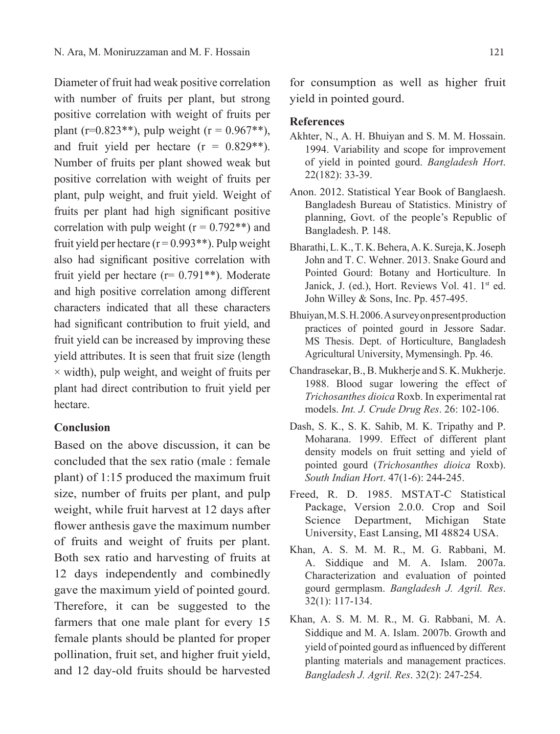Diameter of fruit had weak positive correlation with number of fruits per plant, but strong positive correlation with weight of fruits per plant (r=0.823\*\*), pulp weight (r =  $0.967**$ ), and fruit yield per hectare  $(r = 0.829**)$ . Number of fruits per plant showed weak but positive correlation with weight of fruits per plant, pulp weight, and fruit yield. Weight of fruits per plant had high significant positive correlation with pulp weight  $(r = 0.792**)$  and fruit yield per hectare  $(r = 0.993**)$ . Pulp weight also had significant positive correlation with fruit yield per hectare  $(r= 0.791**)$ . Moderate and high positive correlation among different characters indicated that all these characters had significant contribution to fruit yield, and fruit yield can be increased by improving these yield attributes. It is seen that fruit size (length  $\times$  width), pulp weight, and weight of fruits per plant had direct contribution to fruit yield per hectare.

### **Conclusion**

Based on the above discussion, it can be concluded that the sex ratio (male : female plant) of 1:15 produced the maximum fruit size, number of fruits per plant, and pulp weight, while fruit harvest at 12 days after flower anthesis gave the maximum number of fruits and weight of fruits per plant. Both sex ratio and harvesting of fruits at 12 days independently and combinedly gave the maximum yield of pointed gourd. Therefore, it can be suggested to the farmers that one male plant for every 15 female plants should be planted for proper pollination, fruit set, and higher fruit yield, and 12 day-old fruits should be harvested for consumption as well as higher fruit yield in pointed gourd.

## **References**

- Akhter, N., A. H. Bhuiyan and S. M. M. Hossain. 1994. Variability and scope for improvement of yield in pointed gourd. *Bangladesh Hort*. 22(182): 33-39.
- Anon. 2012. Statistical Year Book of Banglaesh. Bangladesh Bureau of Statistics. Ministry of planning, Govt. of the people's Republic of Bangladesh. P. 148.
- Bharathi, L. K., T. K. Behera, A. K. Sureja, K. Joseph John and T. C. Wehner. 2013. Snake Gourd and Pointed Gourd: Botany and Horticulture. In Janick, J. (ed.), Hort. Reviews Vol. 41. 1st ed. John Willey & Sons, Inc. Pp. 457-495.
- Bhuiyan, M. S. H. 2006. A survey on present production practices of pointed gourd in Jessore Sadar. MS Thesis. Dept. of Horticulture, Bangladesh Agricultural University, Mymensingh. pp. 46.
- Chandrasekar, B., B. Mukherje and S. K. Mukherje. 1988. Blood sugar lowering the effect of *Trichosanthes dioica* Roxb. In experimental rat models. *Int. J. Crude Drug Res*. 26: 102-106.
- Dash, S. K., S. K. Sahib, M. K. Tripathy and P. Moharana. 1999. Effect of different plant density models on fruit setting and yield of pointed gourd (*Trichosanthes dioica* Roxb). *South Indian Hort*. 47(1-6): 244-245.
- Freed, R. D. 1985. MSTAT-C Statistical Package, Version 2.0.0. Crop and Soil Science Department, Michigan State University, East Lansing, MI 48824 USA.
- Khan, A. S. M. M. R., M. G. Rabbani, M. A. Siddique and M. A. Islam. 2007a. Characterization and evaluation of pointed gourd germplasm. *Bangladesh J. Agril. Res*. 32(1): 117-134.
- Khan, A. S. M. M. R., M. G. Rabbani, M. A. Siddique and M. A. Islam. 2007b. Growth and yield of pointed gourd as influenced by different planting materials and management practices. *Bangladesh J. Agril. Res*. 32(2): 247-254.